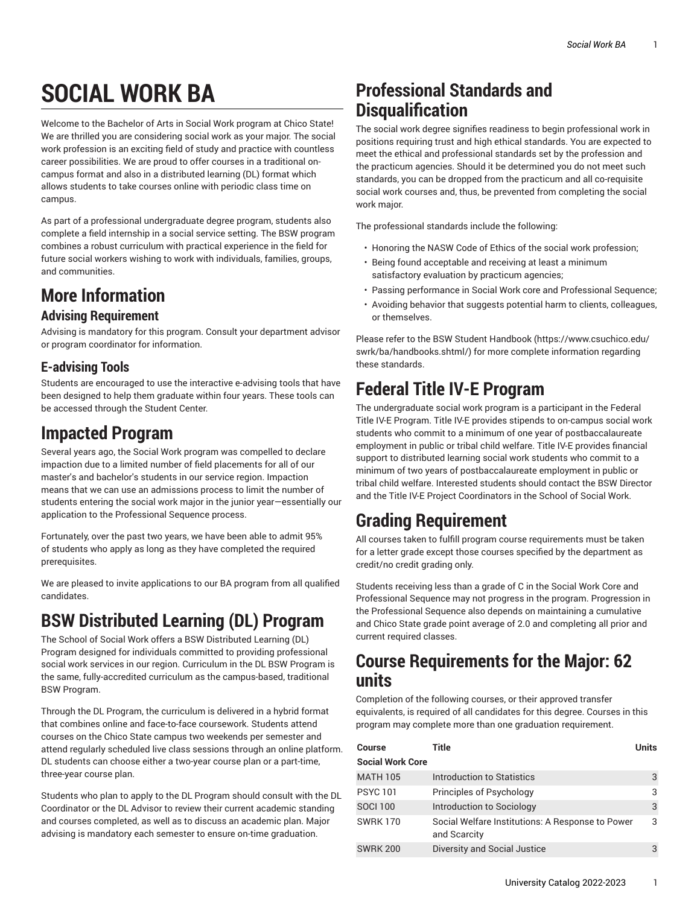# **SOCIAL WORK BA**

Welcome to the Bachelor of Arts in Social Work program at Chico State! We are thrilled you are considering social work as your major. The social work profession is an exciting field of study and practice with countless career possibilities. We are proud to offer courses in a traditional oncampus format and also in a distributed learning (DL) format which allows students to take courses online with periodic class time on campus.

As part of a professional undergraduate degree program, students also complete a field internship in a social service setting. The BSW program combines a robust curriculum with practical experience in the field for future social workers wishing to work with individuals, families, groups, and communities.

# **More Information**

#### **Advising Requirement**

Advising is mandatory for this program. Consult your department advisor or program coordinator for information.

#### **E-advising Tools**

Students are encouraged to use the interactive e-advising tools that have been designed to help them graduate within four years. These tools can be accessed through the Student Center.

### **Impacted Program**

Several years ago, the Social Work program was compelled to declare impaction due to a limited number of field placements for all of our master's and bachelor's students in our service region. Impaction means that we can use an admissions process to limit the number of students entering the social work major in the junior year—essentially our application to the Professional Sequence process.

Fortunately, over the past two years, we have been able to admit 95% of students who apply as long as they have completed the required prerequisites.

We are pleased to invite applications to our BA program from all qualified candidates.

# **BSW Distributed Learning (DL) Program**

The School of Social Work offers a BSW Distributed Learning (DL) Program designed for individuals committed to providing professional social work services in our region. Curriculum in the DL BSW Program is the same, fully-accredited curriculum as the campus-based, traditional BSW Program.

Through the DL Program, the curriculum is delivered in a hybrid format that combines online and face-to-face coursework. Students attend courses on the Chico State campus two weekends per semester and attend regularly scheduled live class sessions through an online platform. DL students can choose either a two-year course plan or a part-time, three-year course plan.

Students who plan to apply to the DL Program should consult with the DL Coordinator or the DL Advisor to review their current academic standing and courses completed, as well as to discuss an academic plan. Major advising is mandatory each semester to ensure on-time graduation.

### **Professional Standards and Disqualification**

The social work degree signifies readiness to begin professional work in positions requiring trust and high ethical standards. You are expected to meet the ethical and professional standards set by the profession and the practicum agencies. Should it be determined you do not meet such standards, you can be dropped from the practicum and all co-requisite social work courses and, thus, be prevented from completing the social work major.

The professional standards include the following:

- Honoring the NASW Code of Ethics of the social work profession;
- Being found acceptable and receiving at least a minimum satisfactory evaluation by practicum agencies;
- Passing performance in Social Work core and Professional Sequence;
- Avoiding behavior that suggests potential harm to clients, colleagues, or themselves.

Please refer to the [BSW Student Handbook](https://www.csuchico.edu/swrk/ba/handbooks.shtml/) ([https://www.csuchico.edu/](https://www.csuchico.edu/swrk/ba/handbooks.shtml/) [swrk/ba/handbooks.shtml/\)](https://www.csuchico.edu/swrk/ba/handbooks.shtml/) for more complete information regarding these standards.

## **Federal Title IV-E Program**

The undergraduate social work program is a participant in the Federal Title IV-E Program. Title IV-E provides stipends to on-campus social work students who commit to a minimum of one year of postbaccalaureate employment in public or tribal child welfare. Title IV-E provides financial support to distributed learning social work students who commit to a minimum of two years of postbaccalaureate employment in public or tribal child welfare. Interested students should contact the BSW Director and the Title IV-E Project Coordinators in the School of Social Work.

## **Grading Requirement**

All courses taken to fulfill program course requirements must be taken for a letter grade except those courses specified by the department as credit/no credit grading only.

Students receiving less than a grade of C in the Social Work Core and Professional Sequence may not progress in the program. Progression in the Professional Sequence also depends on maintaining a cumulative and Chico State grade point average of 2.0 and completing all prior and current required classes.

#### **Course Requirements for the Major: 62 units**

Completion of the following courses, or their approved transfer equivalents, is required of all candidates for this degree. Courses in this program may complete more than one graduation requirement.

| Course                  | Title                                                            | <b>Units</b> |
|-------------------------|------------------------------------------------------------------|--------------|
| <b>Social Work Core</b> |                                                                  |              |
| <b>MATH 105</b>         | Introduction to Statistics                                       | 3            |
| <b>PSYC101</b>          | Principles of Psychology                                         | 3            |
| <b>SOCI 100</b>         | Introduction to Sociology                                        | 3            |
| <b>SWRK170</b>          | Social Welfare Institutions: A Response to Power<br>and Scarcity | 3            |
| <b>SWRK 200</b>         | Diversity and Social Justice                                     | 3            |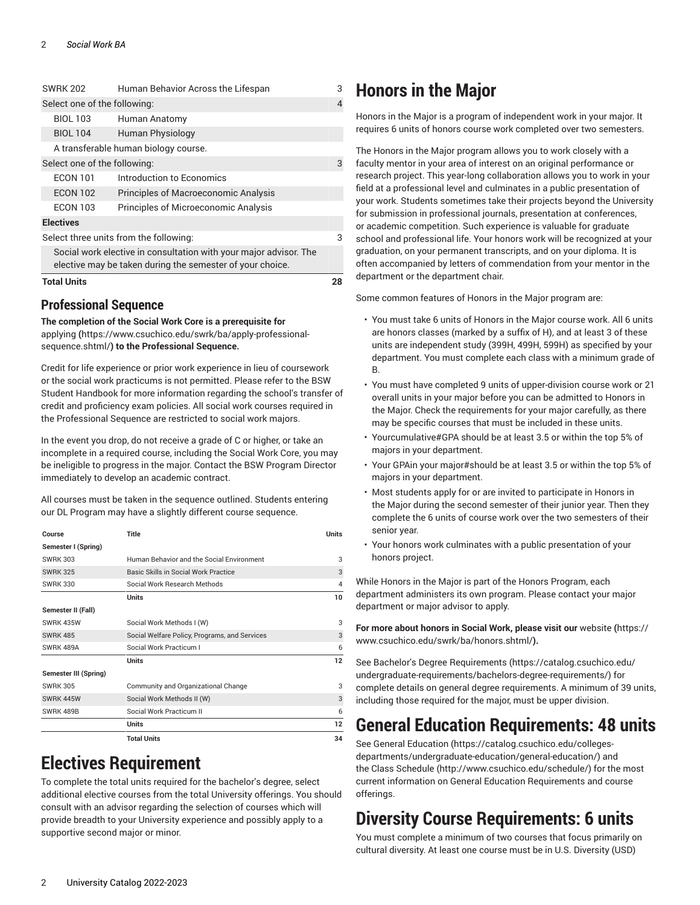| <b>Total Units</b>                                                                                                             |                                             | 28 |  |
|--------------------------------------------------------------------------------------------------------------------------------|---------------------------------------------|----|--|
| Social work elective in consultation with your major advisor. The<br>elective may be taken during the semester of your choice. |                                             |    |  |
| Select three units from the following:                                                                                         |                                             | 3  |  |
| <b>Electives</b>                                                                                                               |                                             |    |  |
| <b>FCON 103</b>                                                                                                                | Principles of Microeconomic Analysis        |    |  |
| <b>ECON 102</b>                                                                                                                | <b>Principles of Macroeconomic Analysis</b> |    |  |
| <b>ECON 101</b>                                                                                                                | Introduction to Economics                   |    |  |
| Select one of the following:                                                                                                   |                                             | 3  |  |
| A transferable human biology course.                                                                                           |                                             |    |  |
| <b>BIOL 104</b>                                                                                                                | Human Physiology                            |    |  |
| <b>BIOL 103</b>                                                                                                                | Human Anatomy                               |    |  |
| Select one of the following:                                                                                                   |                                             |    |  |
| <b>SWRK 202</b>                                                                                                                | Human Behavior Across the Lifespan          | 3  |  |

#### **Professional Sequence**

**The completion of the Social Work Core is a prerequisite for** [applying](https://www.csuchico.edu/swrk/ba/apply-professional-sequence.shtml/) **(**[https://www.csuchico.edu/swrk/ba/apply-professional](https://www.csuchico.edu/swrk/ba/apply-professional-sequence.shtml/)[sequence.shtml/](https://www.csuchico.edu/swrk/ba/apply-professional-sequence.shtml/)**) to the Professional Sequence.**

Credit for life experience or prior work experience in lieu of coursework or the social work practicums is not permitted. Please refer to the BSW Student Handbook for more information regarding the school's transfer of credit and proficiency exam policies. All social work courses required in the Professional Sequence are restricted to social work majors.

In the event you drop, do not receive a grade of C or higher, or take an incomplete in a required course, including the Social Work Core, you may be ineligible to progress in the major. Contact the BSW Program Director immediately to develop an academic contract.

All courses must be taken in the sequence outlined. Students entering our DL Program may have a slightly different course sequence.

| Course                | Title                                         | Units |
|-----------------------|-----------------------------------------------|-------|
| Semester I (Spring)   |                                               |       |
| <b>SWRK 303</b>       | Human Behavior and the Social Environment     | 3     |
| <b>SWRK 325</b>       | Basic Skills in Social Work Practice          | 3     |
| <b>SWRK 330</b>       | Social Work Research Methods                  | 4     |
|                       | Units                                         | 10    |
| Semester II (Fall)    |                                               |       |
| SWRK 435W             | Social Work Methods I (W)                     | 3     |
| <b>SWRK 485</b>       | Social Welfare Policy, Programs, and Services | 3     |
| SWRK 489A             | Social Work Practicum I                       | 6     |
|                       | <b>Units</b>                                  | 12    |
| Semester III (Spring) |                                               |       |
| <b>SWRK 305</b>       | Community and Organizational Change           | 3     |
| SWRK 445W             | Social Work Methods II (W)                    | 3     |
| <b>SWRK 489B</b>      | Social Work Practicum II                      | 6     |
|                       | <b>Units</b>                                  | 12    |
|                       | <b>Total Units</b>                            | 34    |

# **Electives Requirement**

To complete the total units required for the bachelor's degree, select additional elective courses from the total University offerings. You should consult with an advisor regarding the selection of courses which will provide breadth to your University experience and possibly apply to a supportive second major or minor.

### **Honors in the Major**

Honors in the Major is a program of independent work in your major. It requires 6 units of honors course work completed over two semesters.

The Honors in the Major program allows you to work closely with a faculty mentor in your area of interest on an original performance or research project. This year-long collaboration allows you to work in your field at a professional level and culminates in a public presentation of your work. Students sometimes take their projects beyond the University for submission in professional journals, presentation at conferences, or academic competition. Such experience is valuable for graduate school and professional life. Your honors work will be recognized at your graduation, on your permanent transcripts, and on your diploma. It is often accompanied by letters of commendation from your mentor in the department or the department chair.

Some common features of Honors in the Major program are:

- You must take 6 units of Honors in the Major course work. All 6 units are honors classes (marked by a suffix of H), and at least 3 of these units are independent study (399H, 499H, 599H) as specified by your department. You must complete each class with a minimum grade of B.
- You must have completed 9 units of upper-division course work or 21 overall units in your major before you can be admitted to Honors in the Major. Check the requirements for your major carefully, as there may be specific courses that must be included in these units.
- Yourcumulative#GPA should be at least 3.5 or within the top 5% of majors in your department.
- Your GPAin your major#should be at least 3.5 or within the top 5% of majors in your department.
- Most students apply for or are invited to participate in Honors in the Major during the second semester of their junior year. Then they complete the 6 units of course work over the two semesters of their senior year.
- Your honors work culminates with a public presentation of your honors project.

While Honors in the Major is part of the Honors Program, each department administers its own program. Please contact your major department or major advisor to apply.

**For more about honors in Social Work, please visit our** [website](https://www.csuchico.edu/swrk/ba/honors.shtml/) **(**[https://](https://www.csuchico.edu/swrk/ba/honors.shtml/) [www.csuchico.edu/swrk/ba/honors.shtml/](https://www.csuchico.edu/swrk/ba/honors.shtml/)**).**

See Bachelor's Degree [Requirements \(https://catalog.csuchico.edu/](https://catalog.csuchico.edu/undergraduate-requirements/bachelors-degree-requirements/) [undergraduate-requirements/bachelors-degree-requirements/](https://catalog.csuchico.edu/undergraduate-requirements/bachelors-degree-requirements/)) for complete details on general degree requirements. A minimum of 39 units, including those required for the major, must be upper division.

## **General Education Requirements: 48 units**

See General [Education \(https://catalog.csuchico.edu/colleges](https://catalog.csuchico.edu/colleges-departments/undergraduate-education/general-education/)[departments/undergraduate-education/general-education/\)](https://catalog.csuchico.edu/colleges-departments/undergraduate-education/general-education/) and the [Class Schedule](http://www.csuchico.edu/schedule/) ([http://www.csuchico.edu/schedule/\)](http://www.csuchico.edu/schedule/) for the most current information on General Education Requirements and course offerings.

# **Diversity Course Requirements: 6 units**

You must complete a minimum of two courses that focus primarily on cultural diversity. At least one course must be in U.S. Diversity (USD)